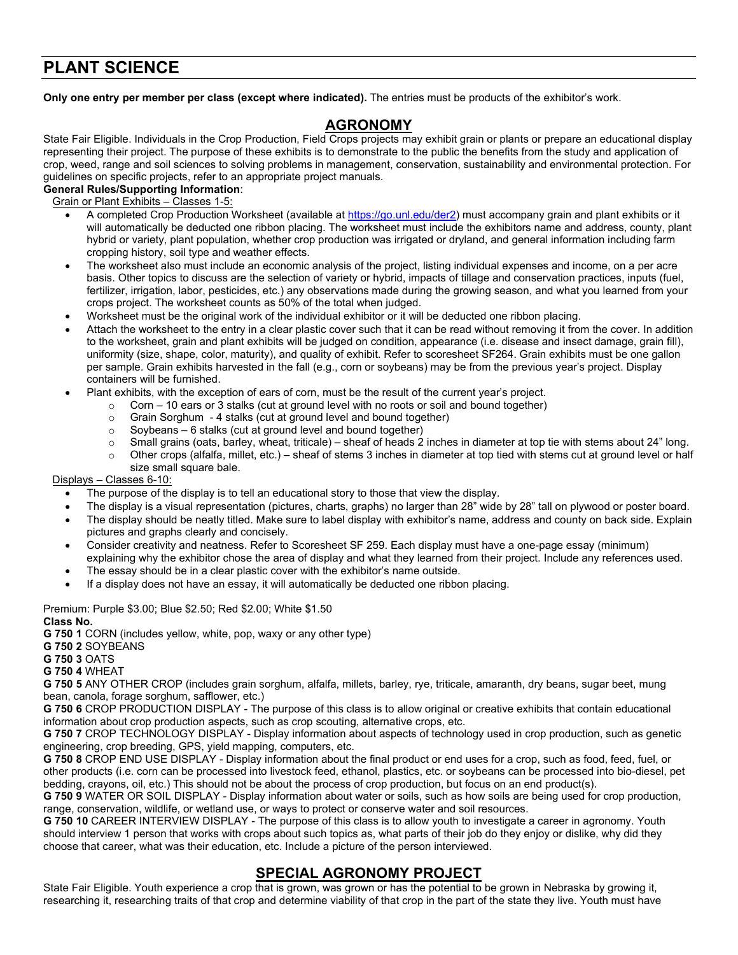# **PLANT SCIENCE**

**Only one entry per member per class (except where indicated).** The entries must be products of the exhibitor's work.

## **AGRONOMY**

State Fair Eligible. Individuals in the Crop Production, Field Crops projects may exhibit grain or plants or prepare an educational display representing their project. The purpose of these exhibits is to demonstrate to the public the benefits from the study and application of crop, weed, range and soil sciences to solving problems in management, conservation, sustainability and environmental protection. For guidelines on specific projects, refer to an appropriate project manuals.

#### **General Rules/Supporting Information**:

Grain or Plant Exhibits – Classes 1-5:

- A completed Crop Production Worksheet (available at [https://go.unl.edu/der2\)](https://go.unl.edu/der2) must accompany grain and plant exhibits or it will automatically be deducted one ribbon placing. The worksheet must include the exhibitors name and address, county, plant hybrid or variety, plant population, whether crop production was irrigated or dryland, and general information including farm cropping history, soil type and weather effects.
- The worksheet also must include an economic analysis of the project, listing individual expenses and income, on a per acre basis. Other topics to discuss are the selection of variety or hybrid, impacts of tillage and conservation practices, inputs (fuel, fertilizer, irrigation, labor, pesticides, etc.) any observations made during the growing season, and what you learned from your crops project. The worksheet counts as 50% of the total when judged.
- Worksheet must be the original work of the individual exhibitor or it will be deducted one ribbon placing.
- Attach the worksheet to the entry in a clear plastic cover such that it can be read without removing it from the cover. In addition to the worksheet, grain and plant exhibits will be judged on condition, appearance (i.e. disease and insect damage, grain fill), uniformity (size, shape, color, maturity), and quality of exhibit. Refer to scoresheet SF264. Grain exhibits must be one gallon per sample. Grain exhibits harvested in the fall (e.g., corn or soybeans) may be from the previous year's project. Display containers will be furnished.
	- Plant exhibits, with the exception of ears of corn, must be the result of the current year's project.
		- $\circ$  Corn 10 ears or 3 stalks (cut at ground level with no roots or soil and bound together)
		- o Grain Sorghum 4 stalks (cut at ground level and bound together)
		- $\circ$  Soybeans 6 stalks (cut at ground level and bound together)<br>  $\circ$  Small grains (oats barley wheat friticale) sheaf of heads 2
		- o Small grains (oats, barley, wheat, triticale) sheaf of heads 2 inches in diameter at top tie with stems about 24" long.<br>Other crops (alfalfa, millet, etc.) sheaf of stems 3 inches in diameter at top tied with stems
		- Other crops (alfalfa, millet, etc.) sheaf of stems 3 inches in diameter at top tied with stems cut at ground level or half size small square bale.

Displays – Classes 6-10:

- The purpose of the display is to tell an educational story to those that view the display.
- The display is a visual representation (pictures, charts, graphs) no larger than 28" wide by 28" tall on plywood or poster board.
- The display should be neatly titled. Make sure to label display with exhibitor's name, address and county on back side. Explain pictures and graphs clearly and concisely.
- Consider creativity and neatness. Refer to Scoresheet SF 259. Each display must have a one-page essay (minimum) explaining why the exhibitor chose the area of display and what they learned from their project. Include any references used.
- The essay should be in a clear plastic cover with the exhibitor's name outside.
- If a display does not have an essay, it will automatically be deducted one ribbon placing.

Premium: Purple \$3.00; Blue \$2.50; Red \$2.00; White \$1.50 **Class No.**

**G 750 1** CORN (includes yellow, white, pop, waxy or any other type)

**G 750 2** SOYBEANS

**G 750 3** OATS

**G 750 4** WHEAT

**G 750 5** ANY OTHER CROP (includes grain sorghum, alfalfa, millets, barley, rye, triticale, amaranth, dry beans, sugar beet, mung bean, canola, forage sorghum, safflower, etc.)

**G 750 6** CROP PRODUCTION DISPLAY - The purpose of this class is to allow original or creative exhibits that contain educational information about crop production aspects, such as crop scouting, alternative crops, etc.

**G 750 7** CROP TECHNOLOGY DISPLAY - Display information about aspects of technology used in crop production, such as genetic engineering, crop breeding, GPS, yield mapping, computers, etc.

**G 750 8** CROP END USE DISPLAY - Display information about the final product or end uses for a crop, such as food, feed, fuel, or other products (i.e. corn can be processed into livestock feed, ethanol, plastics, etc. or soybeans can be processed into bio-diesel, pet bedding, crayons, oil, etc.) This should not be about the process of crop production, but focus on an end product(s).

**G 750 9** WATER OR SOIL DISPLAY - Display information about water or soils, such as how soils are being used for crop production, range, conservation, wildlife, or wetland use, or ways to protect or conserve water and soil resources.

**G 750 10** CAREER INTERVIEW DISPLAY - The purpose of this class is to allow youth to investigate a career in agronomy. Youth should interview 1 person that works with crops about such topics as, what parts of their job do they enjoy or dislike, why did they choose that career, what was their education, etc. Include a picture of the person interviewed.

## **SPECIAL AGRONOMY PROJECT**

State Fair Eligible. Youth experience a crop that is grown, was grown or has the potential to be grown in Nebraska by growing it, researching it, researching traits of that crop and determine viability of that crop in the part of the state they live. Youth must have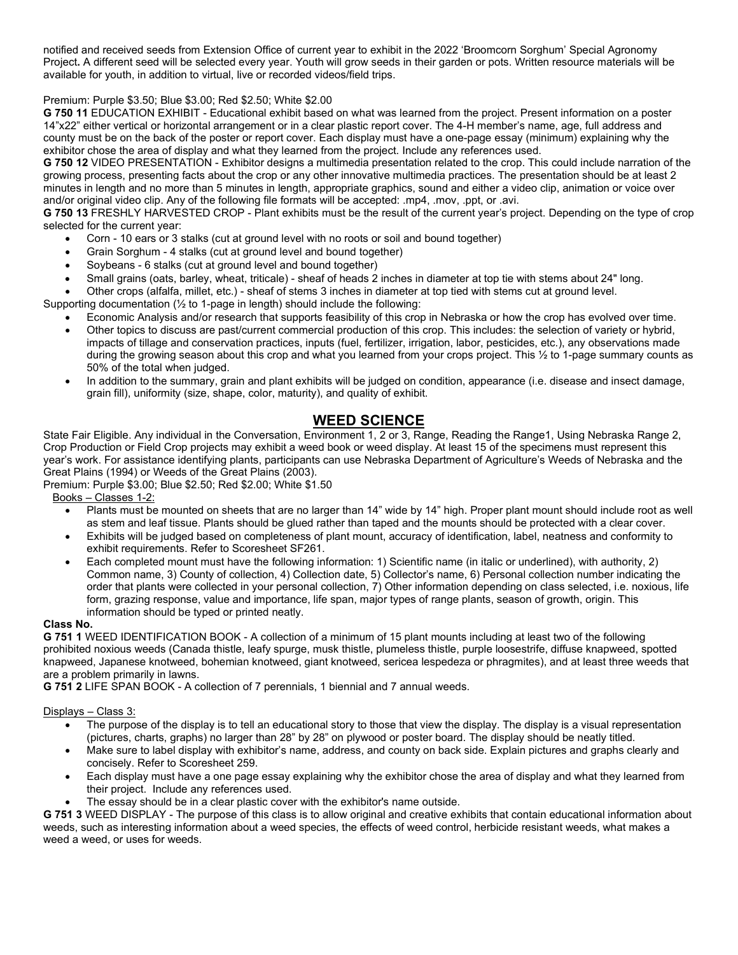notified and received seeds from Extension Office of current year to exhibit in the 2022 'Broomcorn Sorghum' Special Agronomy Project**.** A different seed will be selected every year. Youth will grow seeds in their garden or pots. Written resource materials will be available for youth, in addition to virtual, live or recorded videos/field trips.

#### Premium: Purple \$3.50; Blue \$3.00; Red \$2.50; White \$2.00

**G 750 11** EDUCATION EXHIBIT - Educational exhibit based on what was learned from the project. Present information on a poster 14"x22" either vertical or horizontal arrangement or in a clear plastic report cover. The 4-H member's name, age, full address and county must be on the back of the poster or report cover. Each display must have a one-page essay (minimum) explaining why the exhibitor chose the area of display and what they learned from the project. Include any references used.

**G 750 12** VIDEO PRESENTATION - Exhibitor designs a multimedia presentation related to the crop. This could include narration of the growing process, presenting facts about the crop or any other innovative multimedia practices. The presentation should be at least 2 minutes in length and no more than 5 minutes in length, appropriate graphics, sound and either a video clip, animation or voice over and/or original video clip. Any of the following file formats will be accepted: .mp4, .mov, .ppt, or .avi.

**G 750 13** FRESHLY HARVESTED CROP - Plant exhibits must be the result of the current year's project. Depending on the type of crop selected for the current year:

- Corn 10 ears or 3 stalks (cut at ground level with no roots or soil and bound together)
- Grain Sorghum 4 stalks (cut at ground level and bound together)
- Soybeans 6 stalks (cut at ground level and bound together)
- Small grains (oats, barley, wheat, triticale) sheaf of heads 2 inches in diameter at top tie with stems about 24" long.

• Other crops (alfalfa, millet, etc.) - sheaf of stems 3 inches in diameter at top tied with stems cut at ground level.

Supporting documentation (½ to 1-page in length) should include the following:

- Economic Analysis and/or research that supports feasibility of this crop in Nebraska or how the crop has evolved over time.
- Other topics to discuss are past/current commercial production of this crop. This includes: the selection of variety or hybrid, impacts of tillage and conservation practices, inputs (fuel, fertilizer, irrigation, labor, pesticides, etc.), any observations made during the growing season about this crop and what you learned from your crops project. This ½ to 1-page summary counts as 50% of the total when judged.
- In addition to the summary, grain and plant exhibits will be judged on condition, appearance (i.e. disease and insect damage, grain fill), uniformity (size, shape, color, maturity), and quality of exhibit.

## **WEED SCIENCE**

State Fair Eligible. Any individual in the Conversation, Environment 1, 2 or 3, Range, Reading the Range1, Using Nebraska Range 2, Crop Production or Field Crop projects may exhibit a weed book or weed display. At least 15 of the specimens must represent this year's work. For assistance identifying plants, participants can use Nebraska Department of Agriculture's Weeds of Nebraska and the Great Plains (1994) or Weeds of the Great Plains (2003).

Premium: Purple \$3.00; Blue \$2.50; Red \$2.00; White \$1.50

Books – Classes 1-2:

- Plants must be mounted on sheets that are no larger than 14" wide by 14" high. Proper plant mount should include root as well as stem and leaf tissue. Plants should be glued rather than taped and the mounts should be protected with a clear cover.
- Exhibits will be judged based on completeness of plant mount, accuracy of identification, label, neatness and conformity to exhibit requirements. Refer to Scoresheet SF261.
- Each completed mount must have the following information: 1) Scientific name (in italic or underlined), with authority, 2) Common name, 3) County of collection, 4) Collection date, 5) Collector's name, 6) Personal collection number indicating the order that plants were collected in your personal collection, 7) Other information depending on class selected, i.e. noxious, life form, grazing response, value and importance, life span, major types of range plants, season of growth, origin. This information should be typed or printed neatly.

#### **Class No.**

**G 751 1** WEED IDENTIFICATION BOOK - A collection of a minimum of 15 plant mounts including at least two of the following prohibited noxious weeds (Canada thistle, leafy spurge, musk thistle, plumeless thistle, purple loosestrife, diffuse knapweed, spotted knapweed, Japanese knotweed, bohemian knotweed, giant knotweed, sericea lespedeza or phragmites), and at least three weeds that are a problem primarily in lawns.

**G 751 2** LIFE SPAN BOOK - A collection of 7 perennials, 1 biennial and 7 annual weeds.

Displays – Class 3:

- The purpose of the display is to tell an educational story to those that view the display. The display is a visual representation (pictures, charts, graphs) no larger than 28" by 28" on plywood or poster board. The display should be neatly titled.
- Make sure to label display with exhibitor's name, address, and county on back side. Explain pictures and graphs clearly and concisely. Refer to Scoresheet 259.
- Each display must have a one page essay explaining why the exhibitor chose the area of display and what they learned from their project. Include any references used.
- The essay should be in a clear plastic cover with the exhibitor's name outside.

**G 751 3** WEED DISPLAY - The purpose of this class is to allow original and creative exhibits that contain educational information about weeds, such as interesting information about a weed species, the effects of weed control, herbicide resistant weeds, what makes a weed a weed, or uses for weeds.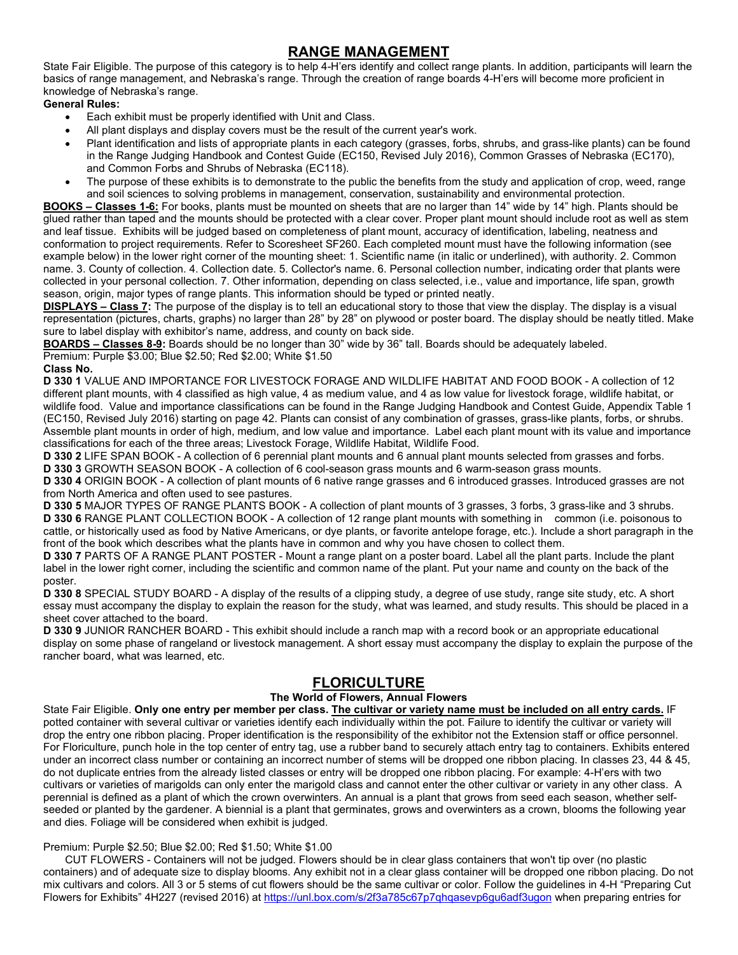## **RANGE MANAGEMENT**

State Fair Eligible. The purpose of this category is to help 4-H'ers identify and collect range plants. In addition, participants will learn the basics of range management, and Nebraska's range. Through the creation of range boards 4-H'ers will become more proficient in knowledge of Nebraska's range.

**General Rules:**

- Each exhibit must be properly identified with Unit and Class.
- All plant displays and display covers must be the result of the current year's work.
- Plant identification and lists of appropriate plants in each category (grasses, forbs, shrubs, and grass-like plants) can be found in the Range Judging Handbook and Contest Guide (EC150, Revised July 2016), Common Grasses of Nebraska (EC170), and Common Forbs and Shrubs of Nebraska (EC118).
- The purpose of these exhibits is to demonstrate to the public the benefits from the study and application of crop, weed, range and soil sciences to solving problems in management, conservation, sustainability and environmental protection.

**BOOKS – Classes 1-6:** For books, plants must be mounted on sheets that are no larger than 14" wide by 14" high. Plants should be glued rather than taped and the mounts should be protected with a clear cover. Proper plant mount should include root as well as stem and leaf tissue. Exhibits will be judged based on completeness of plant mount, accuracy of identification, labeling, neatness and conformation to project requirements. Refer to Scoresheet SF260. Each completed mount must have the following information (see example below) in the lower right corner of the mounting sheet: 1. Scientific name (in italic or underlined), with authority. 2. Common name. 3. County of collection. 4. Collection date. 5. Collector's name. 6. Personal collection number, indicating order that plants were collected in your personal collection. 7. Other information, depending on class selected, i.e., value and importance, life span, growth season, origin, major types of range plants. This information should be typed or printed neatly.

**DISPLAYS – Class 7:** The purpose of the display is to tell an educational story to those that view the display. The display is a visual representation (pictures, charts, graphs) no larger than 28" by 28" on plywood or poster board. The display should be neatly titled. Make sure to label display with exhibitor's name, address, and county on back side.

**BOARDS – Classes 8-9:** Boards should be no longer than 30" wide by 36" tall. Boards should be adequately labeled.

Premium: Purple \$3.00; Blue \$2.50; Red \$2.00; White \$1.50

**Class No.**

**D 330 1** VALUE AND IMPORTANCE FOR LIVESTOCK FORAGE AND WILDLIFE HABITAT AND FOOD BOOK - A collection of 12 different plant mounts, with 4 classified as high value, 4 as medium value, and 4 as low value for livestock forage, wildlife habitat, or wildlife food. Value and importance classifications can be found in the Range Judging Handbook and Contest Guide, Appendix Table 1 (EC150, Revised July 2016) starting on page 42. Plants can consist of any combination of grasses, grass-like plants, forbs, or shrubs. Assemble plant mounts in order of high, medium, and low value and importance. Label each plant mount with its value and importance classifications for each of the three areas; Livestock Forage, Wildlife Habitat, Wildlife Food.

**D 330 2** LIFE SPAN BOOK - A collection of 6 perennial plant mounts and 6 annual plant mounts selected from grasses and forbs. **D 330 3** GROWTH SEASON BOOK - A collection of 6 cool-season grass mounts and 6 warm-season grass mounts.

**D 330 4** ORIGIN BOOK - A collection of plant mounts of 6 native range grasses and 6 introduced grasses. Introduced grasses are not from North America and often used to see pastures.

**D 330 5** MAJOR TYPES OF RANGE PLANTS BOOK - A collection of plant mounts of 3 grasses, 3 forbs, 3 grass-like and 3 shrubs. **D 330 6** RANGE PLANT COLLECTION BOOK - A collection of 12 range plant mounts with something in common (i.e. poisonous to cattle, or historically used as food by Native Americans, or dye plants, or favorite antelope forage, etc.). Include a short paragraph in the front of the book which describes what the plants have in common and why you have chosen to collect them.

**D 330 7** PARTS OF A RANGE PLANT POSTER - Mount a range plant on a poster board. Label all the plant parts. Include the plant label in the lower right corner, including the scientific and common name of the plant. Put your name and county on the back of the poster.

**D 330 8** SPECIAL STUDY BOARD - A display of the results of a clipping study, a degree of use study, range site study, etc. A short essay must accompany the display to explain the reason for the study, what was learned, and study results. This should be placed in a sheet cover attached to the board.

**D 330 9** JUNIOR RANCHER BOARD - This exhibit should include a ranch map with a record book or an appropriate educational display on some phase of rangeland or livestock management. A short essay must accompany the display to explain the purpose of the rancher board, what was learned, etc.

## **FLORICULTURE**

#### **The World of Flowers, Annual Flowers**

State Fair Eligible. **Only one entry per member per class. The cultivar or variety name must be included on all entry cards.** IF potted container with several cultivar or varieties identify each individually within the pot. Failure to identify the cultivar or variety will drop the entry one ribbon placing. Proper identification is the responsibility of the exhibitor not the Extension staff or office personnel. For Floriculture, punch hole in the top center of entry tag, use a rubber band to securely attach entry tag to containers. Exhibits entered under an incorrect class number or containing an incorrect number of stems will be dropped one ribbon placing. In classes 23, 44 & 45, do not duplicate entries from the already listed classes or entry will be dropped one ribbon placing. For example: 4-H'ers with two cultivars or varieties of marigolds can only enter the marigold class and cannot enter the other cultivar or variety in any other class. A perennial is defined as a plant of which the crown overwinters. An annual is a plant that grows from seed each season, whether selfseeded or planted by the gardener. A biennial is a plant that germinates, grows and overwinters as a crown, blooms the following year and dies. Foliage will be considered when exhibit is judged.

#### Premium: Purple \$2.50; Blue \$2.00; Red \$1.50; White \$1.00

CUT FLOWERS - Containers will not be judged. Flowers should be in clear glass containers that won't tip over (no plastic containers) and of adequate size to display blooms. Any exhibit not in a clear glass container will be dropped one ribbon placing. Do not mix cultivars and colors. All 3 or 5 stems of cut flowers should be the same cultivar or color. Follow the guidelines in 4-H "Preparing Cut Flowers for Exhibits" 4H227 (revised 2016) at<https://unl.box.com/s/2f3a785c67p7qhqasevp6gu6adf3ugon> when preparing entries for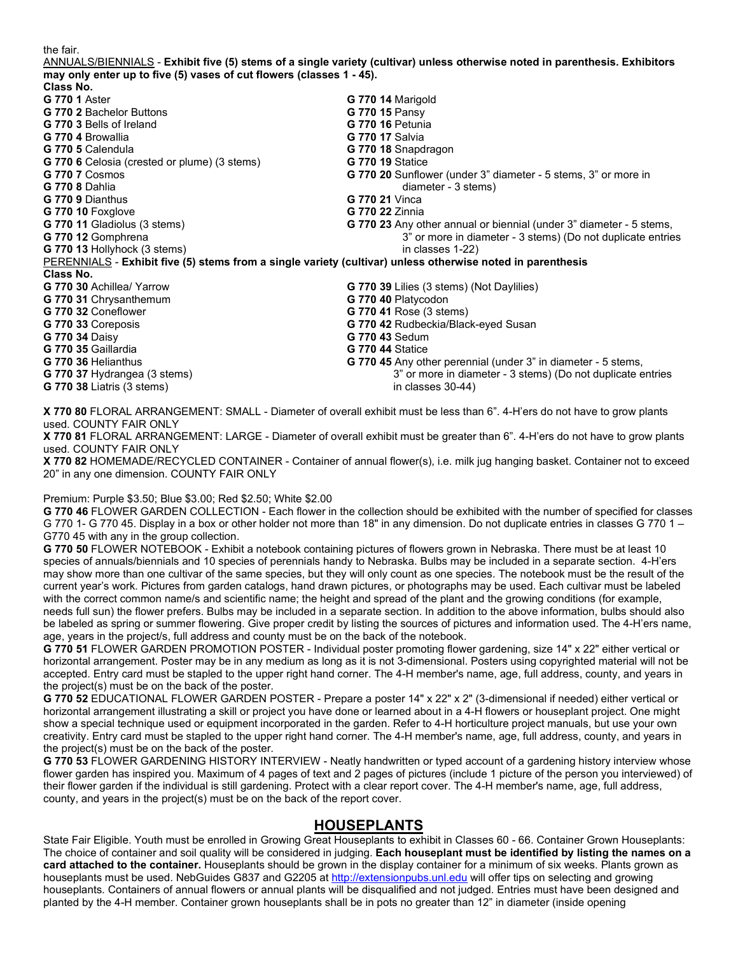the fair.

ANNUALS/BIENNIALS - **Exhibit five (5) stems of a single variety (cultivar) unless otherwise noted in parenthesis. Exhibitors may only enter up to five (5) vases of cut flowers (classes 1 - 45).** 

| Class No.                                                                                                  |                                                                       |
|------------------------------------------------------------------------------------------------------------|-----------------------------------------------------------------------|
| <b>G 770 1 Aster</b>                                                                                       | G 770 14 Marigold                                                     |
| <b>G 770 2 Bachelor Buttons</b>                                                                            | G 770 15 Pansy                                                        |
| G 770 3 Bells of Ireland                                                                                   | <b>G 770 16 Petunia</b>                                               |
| G 770 4 Browallia                                                                                          | <b>G 770 17 Salvia</b>                                                |
| G 770 5 Calendula                                                                                          | G 770 18 Snapdragon                                                   |
| G 770 6 Celosia (crested or plume) (3 stems)                                                               | <b>G 770 19 Statice</b>                                               |
| <b>G 770 7 Cosmos</b>                                                                                      | <b>G 770 20</b> Sunflower (under 3" diameter - 5 stems, 3" or more in |
| <b>G 770 8 Dahlia</b>                                                                                      | diameter - 3 stems)                                                   |
| G 770 9 Dianthus                                                                                           | <b>G 770 21 Vinca</b>                                                 |
| <b>G 770 10 Foxglove</b>                                                                                   | <b>G 770 22 Zinnia</b>                                                |
| G 770 11 Gladiolus (3 stems)                                                                               | G 770 23 Any other annual or biennial (under 3" diameter - 5 stems,   |
| G 770 12 Gomphrena                                                                                         | 3" or more in diameter - 3 stems) (Do not duplicate entries           |
| G 770 13 Hollyhock (3 stems)                                                                               | in classes 1-22)                                                      |
| PERENNIALS - Exhibit five (5) stems from a single variety (cultivar) unless otherwise noted in parenthesis |                                                                       |
| Class No.                                                                                                  |                                                                       |
| G 770 30 Achillea/ Yarrow                                                                                  | G 770 39 Lilies (3 stems) (Not Daylilies)                             |
| G 770 31 Chrysanthemum                                                                                     | G 770 40 Platycodon                                                   |
| G 770 32 Coneflower                                                                                        | G 770 41 Rose (3 stems)                                               |
| G 770 33 Coreposis                                                                                         | G 770 42 Rudbeckia/Black-eyed Susan                                   |
| <b>G 770 34 Daisy</b>                                                                                      | <b>G 770 43 Sedum</b>                                                 |
| G 770 35 Gaillardia                                                                                        | <b>G 770 44 Statice</b>                                               |
| G 770 36 Helianthus                                                                                        | G 770 45 Any other perennial (under 3" in diameter - 5 stems,         |
| G 770 37 Hydrangea (3 stems)                                                                               | 3" or more in diameter - 3 stems) (Do not duplicate entries           |
| <b>G 770 38 Liatris (3 stems)</b>                                                                          | in classes $30-44$ )                                                  |
|                                                                                                            |                                                                       |

**X 770 80** FLORAL ARRANGEMENT: SMALL - Diameter of overall exhibit must be less than 6". 4-H'ers do not have to grow plants used. COUNTY FAIR ONLY

**X 770 81** FLORAL ARRANGEMENT: LARGE - Diameter of overall exhibit must be greater than 6". 4-H'ers do not have to grow plants used. COUNTY FAIR ONLY

**X 770 82** HOMEMADE/RECYCLED CONTAINER - Container of annual flower(s), i.e. milk jug hanging basket. Container not to exceed 20" in any one dimension. COUNTY FAIR ONLY

#### Premium: Purple \$3.50; Blue \$3.00; Red \$2.50; White \$2.00

**G 770 46** FLOWER GARDEN COLLECTION - Each flower in the collection should be exhibited with the number of specified for classes G 770 1- G 770 45. Display in a box or other holder not more than 18" in any dimension. Do not duplicate entries in classes G 770 1 – G770 45 with any in the group collection.

**G 770 50** FLOWER NOTEBOOK - Exhibit a notebook containing pictures of flowers grown in Nebraska. There must be at least 10 species of annuals/biennials and 10 species of perennials handy to Nebraska. Bulbs may be included in a separate section. 4-H'ers may show more than one cultivar of the same species, but they will only count as one species. The notebook must be the result of the current year's work. Pictures from garden catalogs, hand drawn pictures, or photographs may be used. Each cultivar must be labeled with the correct common name/s and scientific name; the height and spread of the plant and the growing conditions (for example, needs full sun) the flower prefers. Bulbs may be included in a separate section. In addition to the above information, bulbs should also be labeled as spring or summer flowering. Give proper credit by listing the sources of pictures and information used. The 4-H'ers name, age, years in the project/s, full address and county must be on the back of the notebook.

**G 770 51** FLOWER GARDEN PROMOTION POSTER - Individual poster promoting flower gardening, size 14" x 22" either vertical or horizontal arrangement. Poster may be in any medium as long as it is not 3-dimensional. Posters using copyrighted material will not be accepted. Entry card must be stapled to the upper right hand corner. The 4-H member's name, age, full address, county, and years in the project(s) must be on the back of the poster.

**G 770 52** EDUCATIONAL FLOWER GARDEN POSTER - Prepare a poster 14" x 22" x 2" (3-dimensional if needed) either vertical or horizontal arrangement illustrating a skill or project you have done or learned about in a 4-H flowers or houseplant project. One might show a special technique used or equipment incorporated in the garden. Refer to 4-H horticulture project manuals, but use your own creativity. Entry card must be stapled to the upper right hand corner. The 4-H member's name, age, full address, county, and years in the project(s) must be on the back of the poster.

**G 770 53** FLOWER GARDENING HISTORY INTERVIEW - Neatly handwritten or typed account of a gardening history interview whose flower garden has inspired you. Maximum of 4 pages of text and 2 pages of pictures (include 1 picture of the person you interviewed) of their flower garden if the individual is still gardening. Protect with a clear report cover. The 4-H member's name, age, full address, county, and years in the project(s) must be on the back of the report cover.

### **HOUSEPLANTS**

State Fair Eligible. Youth must be enrolled in Growing Great Houseplants to exhibit in Classes 60 - 66. Container Grown Houseplants: The choice of container and soil quality will be considered in judging. **Each houseplant must be identified by listing the names on a card attached to the container.** Houseplants should be grown in the display container for a minimum of six weeks. Plants grown as houseplants must be used. NebGuides G837 and G2205 at [http://extensionpubs.unl.edu](http://extensionpubs.unl.edu/) will offer tips on selecting and growing houseplants. Containers of annual flowers or annual plants will be disqualified and not judged. Entries must have been designed and planted by the 4-H member. Container grown houseplants shall be in pots no greater than 12" in diameter (inside opening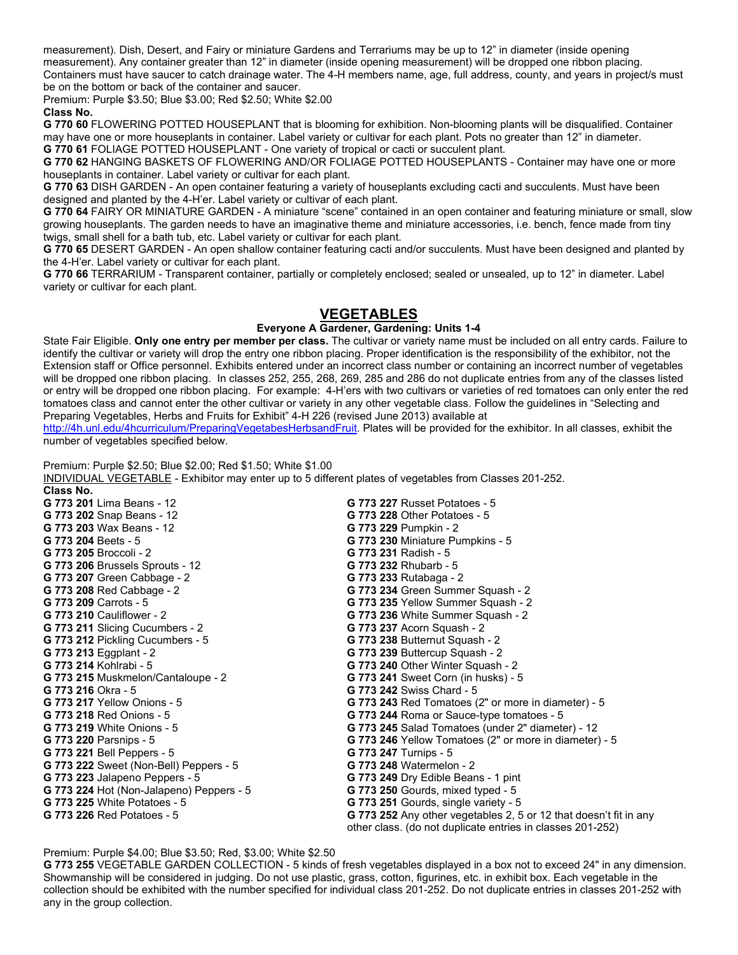measurement). Dish, Desert, and Fairy or miniature Gardens and Terrariums may be up to 12" in diameter (inside opening measurement). Any container greater than 12" in diameter (inside opening measurement) will be dropped one ribbon placing. Containers must have saucer to catch drainage water. The 4-H members name, age, full address, county, and years in project/s must be on the bottom or back of the container and saucer.

Premium: Purple \$3.50; Blue \$3.00; Red \$2.50; White \$2.00

#### **Class No.**

**G 770 60** FLOWERING POTTED HOUSEPLANT that is blooming for exhibition. Non-blooming plants will be disqualified. Container may have one or more houseplants in container. Label variety or cultivar for each plant. Pots no greater than 12" in diameter. **G 770 61** FOLIAGE POTTED HOUSEPLANT - One variety of tropical or cacti or succulent plant.

**G 770 62** HANGING BASKETS OF FLOWERING AND/OR FOLIAGE POTTED HOUSEPLANTS - Container may have one or more houseplants in container. Label variety or cultivar for each plant.

**G 770 63** DISH GARDEN - An open container featuring a variety of houseplants excluding cacti and succulents. Must have been designed and planted by the 4-H'er. Label variety or cultivar of each plant.

**G 770 64** FAIRY OR MINIATURE GARDEN - A miniature "scene" contained in an open container and featuring miniature or small, slow growing houseplants. The garden needs to have an imaginative theme and miniature accessories, i.e. bench, fence made from tiny twigs, small shell for a bath tub, etc. Label variety or cultivar for each plant.

**G 770 65** DESERT GARDEN - An open shallow container featuring cacti and/or succulents. Must have been designed and planted by the 4-H'er. Label variety or cultivar for each plant.

**G 770 66** TERRARIUM - Transparent container, partially or completely enclosed; sealed or unsealed, up to 12" in diameter. Label variety or cultivar for each plant.

### **VEGETABLES**

#### **Everyone A Gardener, Gardening: Units 1-4**

State Fair Eligible. **Only one entry per member per class.** The cultivar or variety name must be included on all entry cards. Failure to identify the cultivar or variety will drop the entry one ribbon placing. Proper identification is the responsibility of the exhibitor, not the Extension staff or Office personnel. Exhibits entered under an incorrect class number or containing an incorrect number of vegetables will be dropped one ribbon placing. In classes 252, 255, 268, 269, 285 and 286 do not duplicate entries from any of the classes listed or entry will be dropped one ribbon placing. For example: 4-H'ers with two cultivars or varieties of red tomatoes can only enter the red tomatoes class and cannot enter the other cultivar or variety in any other vegetable class. Follow the guidelines in "Selecting and Preparing Vegetables, Herbs and Fruits for Exhibit" 4-H 226 (revised June 2013) available at

[http://4h.unl.edu/4hcurriculum/PreparingVegetabesHerbsandFruit.](http://4h.unl.edu/4hcurriculum/PreparingVegetabesHerbsandFruit) Plates will be provided for the exhibitor. In all classes, exhibit the number of vegetables specified below.

Premium: Purple \$2.50; Blue \$2.00; Red \$1.50; White \$1.00

INDIVIDUAL VEGETABLE - Exhibitor may enter up to 5 different plates of vegetables from Classes 201-252. **Class No. G 773 227 Russet Potatoes - 5<br><b>G 773 228** Other Potatoes - 5 **G 773 202 Snap Beans - 12 G 773 203** Wax Beans - 12 **G 773 229** Pumpkin - 2 **G 773 230 Miniature Pumpkins - 5 G 773 205** Broccoli - 2 **G 773 231** Radish - 5 **G 773 206** Brussels Sprouts - 12 **G 773 232** Rhubarb - 5 **G 773 207** Green Cabbage - 2 **G 773 233** Rutabaga - 2 **G 773 208** Red Cabbage - 2 **G 773 234** Green Summer Squash - 2 **G 773 209** Carrots - 5 **G 773 235** Yellow Summer Squash - 2 **G 773 236 White Summer Squash - 2 G 773 211** Slicing Cucumbers - 2 **G 773 237** Acorn Squash - 2 **G 773 212 Pickling Cucumbers - 5 <b>G 773 213** Eggplant - 2 **G 773 213** Eggplant - 2 **G 773 239** Buttercup Squash - 2 **G 773 240 Other Winter Squash - 2 <b>G 773 241** Sweet Corn (in husks) - 5 **G 773 215 Muskmelon/Cantaloupe - 2 G 773 216** Okra - 5 **G 773 242** Swiss Chard - 5 **G 773 217** Yellow Onions - 5 **G 773 243** Red Tomatoes (2" or more in diameter) - 5 **G 773 244** Roma or Sauce-type tomatoes - 5 **G 773 218** Red Onions - 5 **G 773 244** Roma or Sauce-type tomatoes - 5 **G 773 219** White Onions - 5 **G 773 245** Salad Tomatoes (under 2" diameter) - 12 **G 773 246** Yellow Tomatoes (2" or more in diameter) - 5 **G 773 221** Bell Peppers - 5 **G 773 247** Turnips - 5 **G 773 222** Sweet (Non-Bell) Peppers - 5 **G 773 223** Jalapeno Peppers - 5 **G 773 249** Dry Edible Beans - 1 pint **G 773 250** Gourds, mixed typed - 5 **G 773 224 Hot (Non-Jalapeno) Peppers - 5 <b>G 773 225** White Potatoes - 5 **G 773 225** White Potatoes - 5 **G 773 251** Gourds, single variety - 5 **G 773 252** Any other vegetables 2, 5 or 12 that doesn't fit in any other class. (do not duplicate entries in classes 201-252)

Premium: Purple \$4.00; Blue \$3.50; Red, \$3.00; White \$2.50

**G 773 255** VEGETABLE GARDEN COLLECTION - 5 kinds of fresh vegetables displayed in a box not to exceed 24" in any dimension. Showmanship will be considered in judging. Do not use plastic, grass, cotton, figurines, etc. in exhibit box. Each vegetable in the collection should be exhibited with the number specified for individual class 201-252. Do not duplicate entries in classes 201-252 with any in the group collection.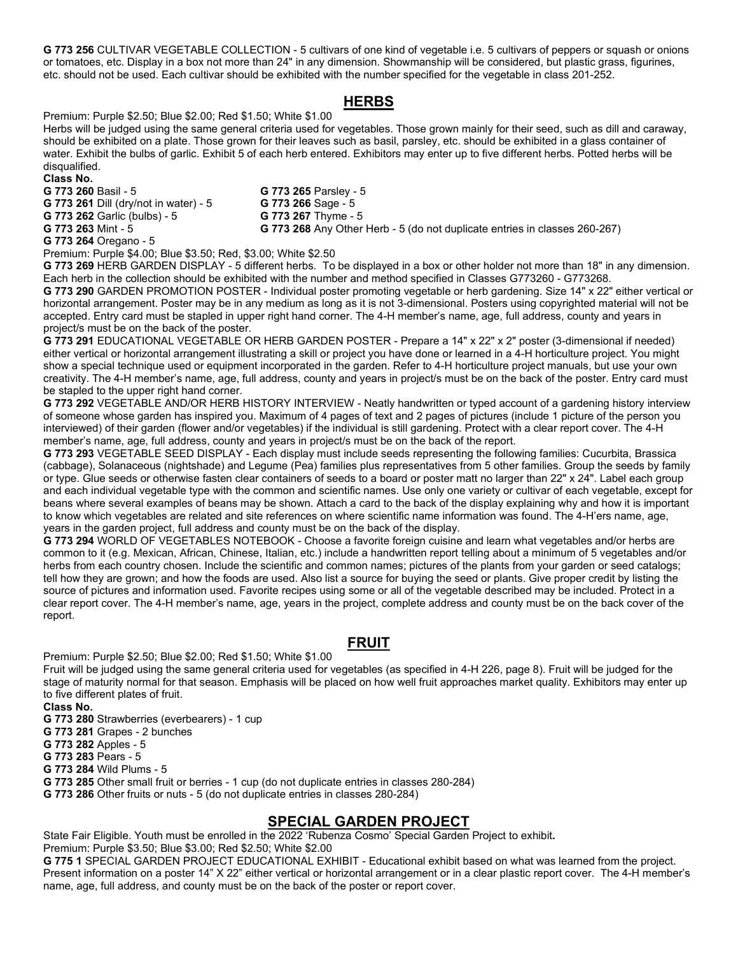**G 773 256** CULTIVAR VEGETABLE COLLECTION - 5 cultivars of one kind of vegetable i.e. 5 cultivars of peppers or squash or onions or tomatoes, etc. Display in a box not more than 24" in any dimension. Showmanship will be considered, but plastic grass, figurines, etc. should not be used. Each cultivar should be exhibited with the number specified for the vegetable in class 201-252.

## **HERBS**

Premium: Purple \$2.50; Blue \$2.00; Red \$1.50; White \$1.00

Herbs will be judged using the same general criteria used for vegetables. Those grown mainly for their seed, such as dill and caraway, should be exhibited on a plate. Those grown for their leaves such as basil, parsley, etc. should be exhibited in a glass container of water. Exhibit the bulbs of garlic. Exhibit 5 of each herb entered. Exhibitors may enter up to five different herbs. Potted herbs will be disqualified.

**Class No.**

**G 773 261** Dill (dry/not in water) - 5 **G 773 266** Sage - 5 **G 773 262** Garlic (bulbs) - 5 **G 773 267** Thyme - 5

**G 773 265 Parsley - 5 G 773 263** Mint - 5 **G 773 268** Any Other Herb - 5 (do not duplicate entries in classes 260-267)

**G 773 264** Oregano - 5

Premium: Purple \$4.00; Blue \$3.50; Red, \$3.00; White \$2.50

**G 773 269** HERB GARDEN DISPLAY - 5 different herbs. To be displayed in a box or other holder not more than 18" in any dimension. Each herb in the collection should be exhibited with the number and method specified in Classes G773260 - G773268.

**G 773 290** GARDEN PROMOTION POSTER - Individual poster promoting vegetable or herb gardening. Size 14" x 22" either vertical or horizontal arrangement. Poster may be in any medium as long as it is not 3-dimensional. Posters using copyrighted material will not be accepted. Entry card must be stapled in upper right hand corner. The 4-H member's name, age, full address, county and years in project/s must be on the back of the poster.

**G 773 291** EDUCATIONAL VEGETABLE OR HERB GARDEN POSTER - Prepare a 14" x 22" x 2" poster (3-dimensional if needed) either vertical or horizontal arrangement illustrating a skill or project you have done or learned in a 4-H horticulture project. You might show a special technique used or equipment incorporated in the garden. Refer to 4-H horticulture project manuals, but use your own creativity. The 4-H member's name, age, full address, county and years in project/s must be on the back of the poster. Entry card must be stapled to the upper right hand corner.

**G 773 292** VEGETABLE AND/OR HERB HISTORY INTERVIEW - Neatly handwritten or typed account of a gardening history interview of someone whose garden has inspired you. Maximum of 4 pages of text and 2 pages of pictures (include 1 picture of the person you interviewed) of their garden (flower and/or vegetables) if the individual is still gardening. Protect with a clear report cover. The 4-H member's name, age, full address, county and years in project/s must be on the back of the report.

**G 773 293** VEGETABLE SEED DISPLAY - Each display must include seeds representing the following families: Cucurbita, Brassica (cabbage), Solanaceous (nightshade) and Legume (Pea) families plus representatives from 5 other families. Group the seeds by family or type. Glue seeds or otherwise fasten clear containers of seeds to a board or poster matt no larger than 22" x 24". Label each group and each individual vegetable type with the common and scientific names. Use only one variety or cultivar of each vegetable, except for beans where several examples of beans may be shown. Attach a card to the back of the display explaining why and how it is important to know which vegetables are related and site references on where scientific name information was found. The 4-H'ers name, age, years in the garden project, full address and county must be on the back of the display.

**G 773 294** WORLD OF VEGETABLES NOTEBOOK - Choose a favorite foreign cuisine and learn what vegetables and/or herbs are common to it (e.g. Mexican, African, Chinese, Italian, etc.) include a handwritten report telling about a minimum of 5 vegetables and/or herbs from each country chosen. Include the scientific and common names; pictures of the plants from your garden or seed catalogs; tell how they are grown; and how the foods are used. Also list a source for buying the seed or plants. Give proper credit by listing the source of pictures and information used. Favorite recipes using some or all of the vegetable described may be included. Protect in a clear report cover. The 4-H member's name, age, years in the project, complete address and county must be on the back cover of the report.

## **FRUIT**

Premium: Purple \$2.50; Blue \$2.00; Red \$1.50; White \$1.00

Fruit will be judged using the same general criteria used for vegetables (as specified in 4-H 226, page 8). Fruit will be judged for the stage of maturity normal for that season. Emphasis will be placed on how well fruit approaches market quality. Exhibitors may enter up to five different plates of fruit.

**Class No.**

**G 773 280** Strawberries (everbearers) - 1 cup

**G 773 281** Grapes - 2 bunches

**G 773 282** Apples - 5

**G 773 283** Pears - 5

**G 773 284** Wild Plums - 5

**G 773 285** Other small fruit or berries - 1 cup (do not duplicate entries in classes 280-284)

**G 773 286** Other fruits or nuts - 5 (do not duplicate entries in classes 280-284)

## **SPECIAL GARDEN PROJECT**

State Fair Eligible. Youth must be enrolled in the 2022 'Rubenza Cosmo' Special Garden Project to exhibit**.**

Premium: Purple \$3.50; Blue \$3.00; Red \$2.50; White \$2.00

**G 775 1** SPECIAL GARDEN PROJECT EDUCATIONAL EXHIBIT - Educational exhibit based on what was learned from the project. Present information on a poster 14" X 22" either vertical or horizontal arrangement or in a clear plastic report cover. The 4-H member's name, age, full address, and county must be on the back of the poster or report cover.